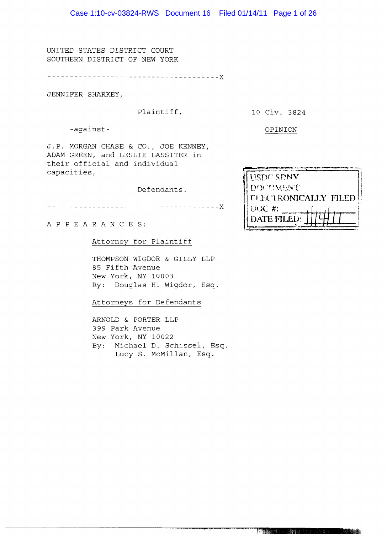UNITED STATES DISTRICT COURT SOUTHERN DISTRICT OF NEW YORK

----x

JENNIFER SHARKEY,

-against-<br>
OPINION

Plaintiff, 10 Civ. 3824

J.P. MORGAN CHASE & CO., JOE KENNEY, ADAM GREEN, and LESLIE LASSITER in their official and individual capacities,

Defendants.

x

A P PEA RAN C E S:

Attorney for Plaintiff

THOMPSON WIGDOR & GILLY LLP 85 Fifth Avenue New York, NY 10003 By: Douglas H. Wigdor, Esq.

Attorneys for Defendants

ARNOLD & PORTER LLP 399 Park Avenue New York, NY 10022 By: Michael D. Schissel, Esq. Lucy S. McMillan, Esq.

| <b>USDC SDNY</b>     |
|----------------------|
| DOCUMENT             |
| FLECTRONICALLY FILED |
| $UUC$ #:             |
| DATE FILED:          |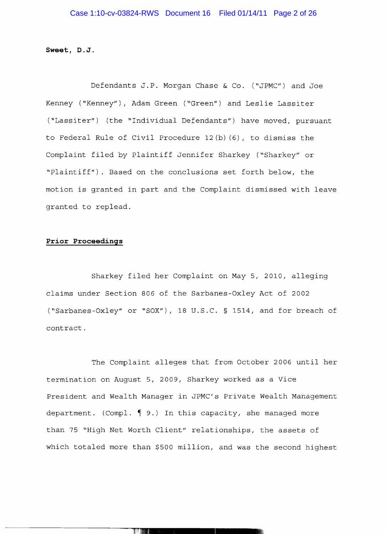**Sweet, D.J.** 

Defendants J.P. Morgan Chase & Co. ("JPMC") and Joe Kenney ("Kenney"), Adam Green ("Green") and Leslie Lassiter ("Lassiter") (the "Individual Defendants") have moved, pursuant to Federal Rule of Civil Procedure 12(b) (6), to dismiss the Complaint filed by Plaintiff Jennifer Sharkey ("Sharkey" or "Plaintiff"). Based on the conclusions set forth below, the motion is granted in part and the Complaint dismissed with leave granted to replead.

#### **Prior Proceedings**

Sharkey filed her Complaint on May 5, 2010, alleging claims under Section 806 of the Sarbanes-Oxley Act of 2002 ("Sarbanes-Oxley" or "SOX"), 18 U.S.C. § 1514, and for breach of contract.

The Complaint alleges that from October 2006 until her termination on August 5, 2009, Sharkey worked as a Vice President and Wealth Manager in JPMC's Private Wealth Management department. (Compl.  $\P$  9.) In this capacity, she managed more than 75 "High Net Worth Client" relationships, the assets of which totaled more than \$500 million, and was the second highest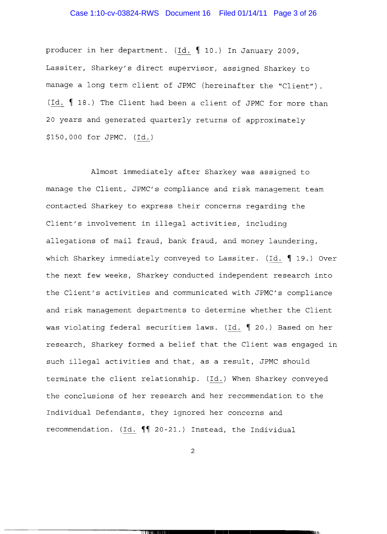# Case 1:10-cv-03824-RWS Document 16 Filed 01/14/11 Page 3 of 26

producer in her department. (Id. 10.) In January 2009, Lassiter, Sharkey's direct supervisor, assigned Sharkey to manage a long term client of JPMC (hereinafter the "Client"). (Id.  $\parallel$  18.) The Client had been a client of JPMC for more than 20 years and generated quarterly returns of approximately \$150,000 for JPMC. (Id.)

Almost immediately after Sharkey was assigned to manage the Client, JPMC's compliance and risk management team contacted Sharkey to express their concerns regarding the Client's involvement in illegal activities, including allegations of mail fraud, bank fraud, and money laundering, which Sharkey immediately conveyed to Lassiter. (Id.  $\parallel$  19.) Over the next few weeks, Sharkey conducted independent research into the Client's activities and communicated with JPMC's compliance and risk management departments to determine whether the Client was violating federal securities laws. (Id. 1 20.) Based on her research, Sharkey formed a belief that the Client was engaged in such illegal activities and that, as a result, JPMC should terminate the client relationship. (Id.) When Sharkey conveyed the conclusions of her research and her recommendation to the Individual Defendants, they ignored her concerns and recommendation. (Id.  $\P\P$  20-21.) Instead, the Individual

2

--------------~-Tl'lnt!**\_\_\_\_\_\_\_\_•\_\_\_\_\_\_\_\_\_\_\_\_"1**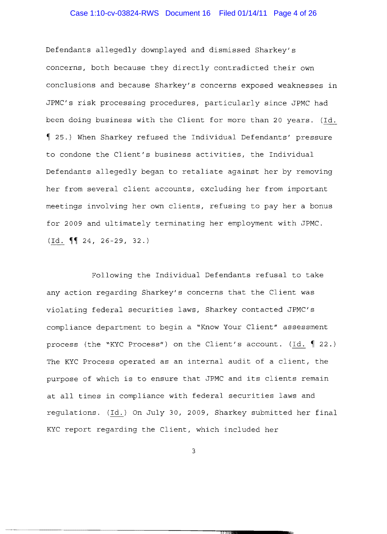# Case 1:10-cv-03824-RWS Document 16 Filed 01/14/11 Page 4 of 26

Defendants allegedly downplayed and dismissed Sharkey's concerns, both because they directly contradicted their own conclusions and because Sharkey's concerns exposed weaknesses in JPMC's risk processing procedures, particularly since JPMC had been doing business with the Client for more than 20 years. (Id. 1 25.) When Sharkey refused the Individual Defendants' pressure to condone the Client's business activities, the Individual Defendants allegedly began to retaliate against her by removing her from several client accounts, excluding her from important meetings involving her own clients, refusing to pay her a bonus for 2009 and ultimately terminating her employment with JPMC.  $(Td. \P\{24, 26-29, 32. \}$ 

Following the Individual Defendants refusal to take any action regarding Sharkey's concerns that the Client was violating federal securities laws, Sharkey contacted JPMC's compliance department to begin a "Know Your Client" assessment process (the "KYC Process") on the Client's account. ( $\underline{Id.}$   $\parallel$  22.) The KYC Process operated as an internal audit of a client, the purpose of which is to ensure that JPMC and its clients remain at all times in compliance with federal securities laws and regulations. (Id.) On July 30, 2009, Sharkey submitted her final KYC report regarding the Client, which included her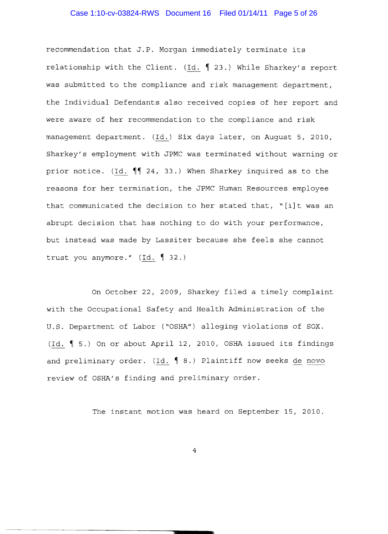# Case 1:10-cv-03824-RWS Document 16 Filed 01/14/11 Page 5 of 26

recommendation that **J.P.** Morgan immediately terminate its relationship with the Client. (Id.  $\int$  23.) While Sharkey's report was submitted to the compliance and risk management department, the Individual Defendants also received copies of her report and were aware of her recommendation to the compliance and risk management department. (Id.) Six days later, on August 5, 2010, Sharkey's employment with JPMC was terminated without warning or prior notice. (Id.  $\P$  24, 33.) When Sharkey inquired as to the reasons for her termination, the JPMC Human Resources employee that communicated the decision to her stated that, "[i]t was an abrupt decision that has nothing to do with your performance, but instead was made by Lassiter because she feels she cannot trust you anymore."  $(Id. \S 32.)$ 

On October 22, 2009, Sharkey filed a timely complaint with the Occupational Safety and Health Administration of the U.S. Department of Labor ("OSHA") alleging violations of SOX. (Id.  $\parallel$  5.) On or about April 12, 2010, OSHA issued its findings and preliminary order. (Id.  $\parallel$  8.) Plaintiff now seeks de novo review of OSHA's finding and preliminary order.

The instant motion was heard on September 15, 2010.

4

..... ....... -----------------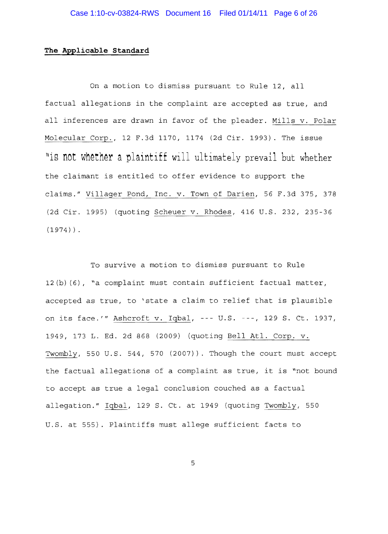### **The Applicable Standard**

On a motion to dismiss pursuant to Rule 12, all factual allegations in the complaint are accepted as true, and all inferences are drawn in favor of the pleader. Mills v. Polar Molecular Corp., 12 F.3d 1170, 1174 (2d Cir. 1993). The issue "is not whether a plaintiff will ultimately prevail but whether the claimant is entitled to offer evidence to support the claims." Villager Pond, Inc. v. Town of Darien, 56 F.3d 375, 378 (2d Cir. 1995) (quoting Scheuer v. Rhodes, 416 U.S. 232, 235 36  $(1974)$ ).

To survive a motion to dismiss pursuant to Rule 12(b) (6), "a complaint must contain sufficient factual matter, accepted as true, to 'state a claim to relief that is plausible on its face.'" Ashcroft v. Iqbal, --- U.S. ---, 129 S. Ct. 1937, 1949, 173 L. Ed. 2d 868 (2009) (quoting Bell Atl. Corp. v. Twombly, 550 U.S. 544, 570 (2007)). Though the court must accept the factual allegations of a complaint as true, it is "not bound to accept as true a legal conclusion couched as a factual allegation." Iqbal, 129 S. Ct. at 1949 (quoting Twombly, 550 U.S. at 555). Plaintiffs must allege sufficient facts to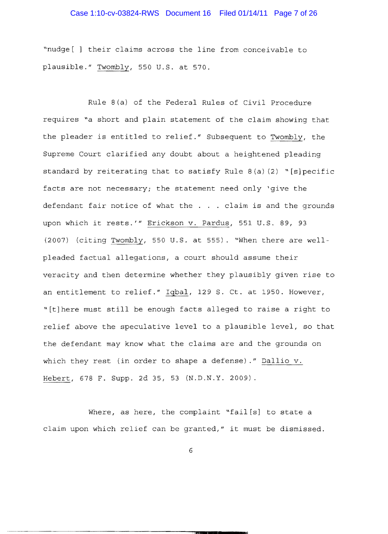# Case 1:10-cv-03824-RWS Document 16 Filed 01/14/11 Page 7 of 26

"nudge [ ] their claims across the line from conceivable to plausible." Twombly, 550 U.S. at 570.

Rule  $8(a)$  of the Federal Rules of Civil Procedure requires "a short and plain statement of the claim showing that the pleader is entitled to relief." Subsequent to Twombly, the Supreme Court clarified any doubt about a heightened pleading standard by reiterating that to satisfy Rule 8 (a) (2) "[s] pecific facts are not necessary; the statement need only 'give the defendant fair notice of what the . . . claim is and the grounds upon which it rests.'" Erickson v. Pardus, 551 U.S. 89, 93 (2007) (citing Twombly, 550 U.S. at 555). "When there are wellpleaded factual allegations, a court should assume their veracity and then determine whether they plausibly given rise to an entitlement to relief." Iqbal, 129 S. Ct. at 1950. However, "[t]here must still be enough facts alleged to raise a right to relief above the speculative level to a plausible level, so that the defendant may know what the claims are and the grounds on which they rest (in order to shape a defense)." Dallio v. Hebert, 678 F. Supp. 2d 35, 53 (N.D.N.Y. 2009).

Where, as here, the complaint "fail[s] to state a claim upon which relief can be granted," it must be dismissed.

·~···-~--···--··--···---------------:".iIIIIi**\_\_1\_\_\_\_**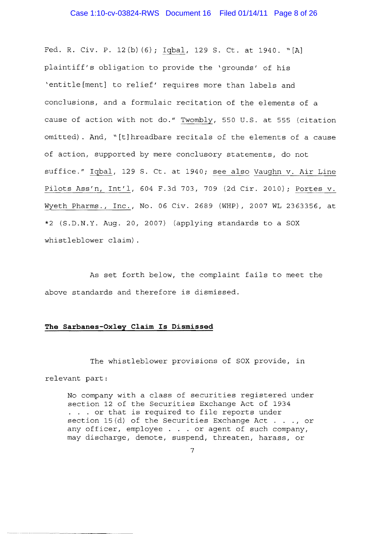#### Case 1:10-cv-03824-RWS Document 16 Filed 01/14/11 Page 8 of 26

Fed. R. Civ. **P.** 12(b) (6); Iqbal, 129 **S.** Ct. at 1940. "[A] plaintiff's obligation to provide the 'grounds' of his 'entitle [ment] to relief' requires more than labels and conclusions, and a formulaic recitation of the elements of a cause of action with not do." Twombly, 550 U.S. at 555 (citation omitted). And, "[tlhreadbare recitals of the elements of a cause of action, supported by mere conclusory statements, do not suffice." Iqbal, 129 S. Ct. at 1940; see also Vaughn v. Air Line Pilots Ass'n, Int'l, 604 F.3d 703, 709 (2d Cir. 2010); Portes v. Wyeth Pharms., Inc., No. 06 Civ. 2689 (WHP), 2007 WL 2363356, at \*2 {S.D.N.Y. Aug. 20, 2007} (applying standards to a SOX whistleblower claim) .

As set forth below, the complaint fails to meet the above standards and therefore is dismissed.

### **The Sarbanes-Oxley Claim Is Dismissed**

The whistleblower provisions of sox provide, in relevant part:

No company with a class of securities registered under section 12 of the Securities Exchange Act of 1934 . . . or that is required to file reports under section 15 $(d)$  of the Securities Exchange Act..., or any officer, employee . . . or agent of such company, may discharge, demote, suspend, threaten, harass, or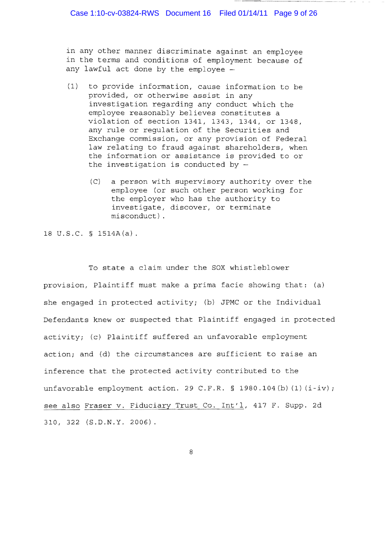in any other manner discriminate against an employee in the terms and conditions of employment because of any lawful act done by the employee

- (1) to provide information, cause information to be provided, or otherwise assist in any investigation regarding any conduct which the employee reasonably believes constitutes a violation of section 1341, 1343, 1344, or 1348, any rule or regulation of the Securities and Exchange commission, or any provision of Federal law relating to fraud against shareholders, when the information or assistance is provided to or the investigation is conducted by  $-$ 
	- *(C)*  a person with supervisory authority over the employee (or such other person working for the employer who has the authority to investigate, discover, or terminate mi sconduct) .

18 U.S.C. § 1514A(a).

To state a claim under the SOX whistleblower provision, Plaintiff must make a prima facie showing that: (a) she engaged in protected activity; (b) JPMC or the Individual Defendants knew or suspected that Plaintiff engaged in protected activity; (c) Plaintiff suffered an unfavorable employment action; and (d) the circumstances are sufficient to raise an inference that the protected activity contributed to the unfavorable employment action. 29 C.F.R. § 1980.104(b)(1)( $i$ -iv); see also Fraser v. Fiduciary Trust Co. Int'l, 417 F. Supp. 2d 310, 322 (S.D.N.Y. 2006).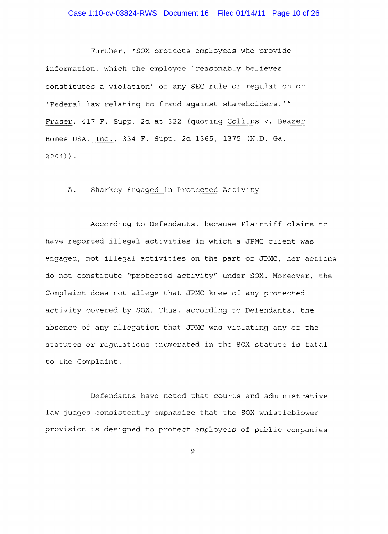Further, "SOX protects employees who provide information, which the employee 'reasonably believes constitutes a violation' of any SEC rule or requlation or 'Federal law relating to fraud against shareholders.'" Fraser, 417 F. Supp. 2d at 322 (quoting Collins v. Beazer Homes USA, Inc., 334 F. Supp. 2d 1365, 1375 (N.D. Ga.  $2004)$ ).

### A. Sharkey Engaged in Protected Activity

According to Defendants, because Plaintiff claims to have reported illegal activities in which a JPMC client was engaged, not illegal activities on the part of JPMC, her actions do not constitute "protected activity" under SOX. Moreover, the Complaint does not allege that JPMC knew of any protected activity covered by SOX. Thus, according to Defendants, the absence of any allegation that JPMC was violating any of the statutes or regulations enumerated in the SOX statute is fatal to the Complaint.

Defendants have noted that courts and administrative law judges consistently emphasize that the SOX whistleblower provision is designed to protect employees of public companies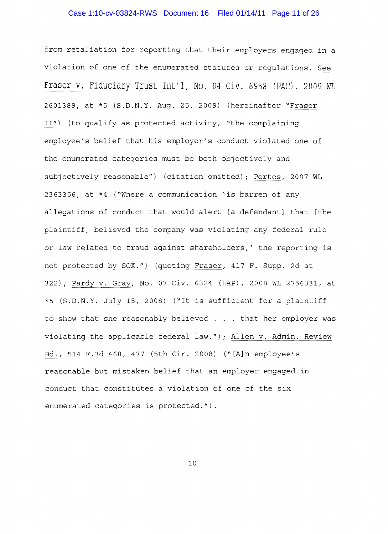# Case 1:10-cv-03824-RWS Document 16 Filed 01/14/11 Page 11 of 26

from retaliation for reporting that their employers engaged in a violation of one of the enumerated statutes or regulations. See Fraser v. Fiduciary Trust Int'l, No. 04 Civ. 6958 (PAC), 2009 WL 2601389, at \*5 (S.D.N.Y. Aug. 25, 2009) (hereinafter "Fraser 11") (to qualify as protected activity, "the complaining employee's belief that his employer's conduct violated one of the enumerated categories must be both objectively and subjectively reasonable") (citation omitted); Portes, 2007 WL 2363356, at \*4 ("Where a communication 'is barren of any allegations of conduct that would alert [a defendant] that [the plaintiff] believed the company was violating any federal rule or law related to fraud against shareholders,' the reporting is not protected by SOX.") (quoting Fraser, 417 F. Supp. 2d at 322); Pardy v. Gray, No. 07 Civ. 6324 (LAP), 2008 WL 2756331, at \*5 (S.D.N.Y. July 15, 2008) ("It is sufficient for a plaintiff to show that she reasonably believed . . . that her employer was violating the applicable federal law."); Allen v. Admin. Review Bd., 514 F.3d 468,477 (5th Cir. 2008) ("[A]n employee's reasonable but mistaken belief that an employer engaged in conduct that constitutes a violation of one of the six enumerated categories is protected. *")* .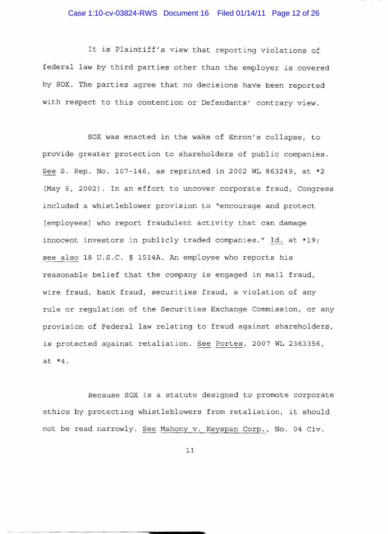# Case 1:10-cv-03824-RWS Document 16 Filed 01/14/11 Page 12 of 26

It is Plaintiff's view that reporting violations of federal law by third parties other than the employer is covered by SOX. The parties agree that no decisions have been reported with respect to this contention or Defendants' contrary view.

SOX was enacted in the wake of Enron's collapse, to provide greater protection to shareholders of public companies. See S. Rep. No. 107-146, as reprinted in 2002 WL 863249, at \*2 (May 6, 2002). In an effort to uncover corporate fraud, Congress included a whistleblower provision to "encourage and protect [employees] who report fraudulent activity that can damage innocent investors in publicly traded companies." Id. at \*19; see also 18 U.S.C. § 1514A. An employee who reports his reasonable belief that the company is engaged in mail fraud, wire fraud, bank fraud, securities fraud, a violation of any rule or regulation of the Securities Exchange Commission, or any provision of Federal law relating to fraud against shareholders, is protected against retaliation. See Portes, 2007 WL 2363356, at  $*4$ .

Because SOX is a statute designed to promote corporate ethics by protecting whistleblowers from retaliation, it should not be read narrowly. See Mahony v. Keyspan Corp., No. 04 Civ.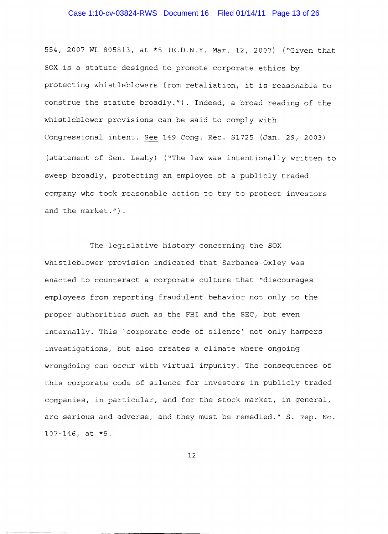# Case 1:10-cv-03824-RWS Document 16 Filed 01/14/11 Page 13 of 26

554,2007 WL 805813, at \*5 (E.D.N.Y. Mar. 12, 2007) ("Given that SOX is a statute designed to promote corporate ethics by protecting whistleblowers from retaliation, it is reasonable to construe the statute broadly."). Indeed, a broad reading of the whistleblower provisions can be said to comply with Congressional intent. See 149 Cong. Rec. S1725 (Jan. 29, 2003) (statement of Sen. Leahy) ("The law was intentionally written to sweep broadly, protecting an employee of a publicly traded company who took reasonable action to try to protect investors and the market.") .

The legislative history concerning the SOX whistleblower provision indicated that Sarbanes-Oxley was enacted to counteract a corporate culture that "discourages employees from reporting fraudulent behavior not only to the proper authorities such as the FBI and the SEC, but even internally. This 'corporate code of silence' not only hampers investigations, but also creates a climate where ongoing wrongdoing can occur with virtual impunity. The consequences of this corporate code of silence for investors in publicly traded companies, in particular, and for the stock market, in general, are serious and adverse, and they must be remedied." S. Rep. No.  $107 - 146$ , at  $*5$ .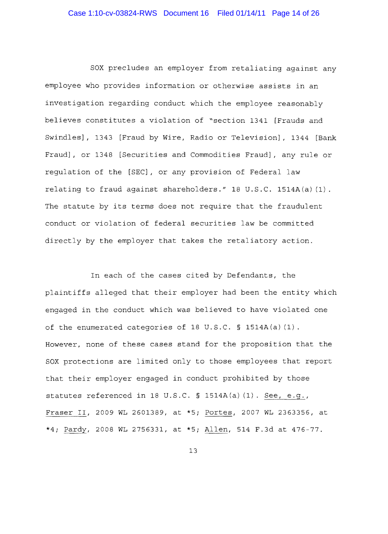SOX precludes an employer from retaliating against any employee who provides information or otherwise assists in an investigation regarding conduct which the employee reasonably believes constitutes a violation of "section 1341 [Frauds and Swindles], 1343 [Fraud by Wire, Radio or Television], 1344 [Bank Fraud], or 1348 [Securities and Commodities Fraud], any rule or regulation of the [SEC], or any provision of Federal law relating to fraud against shareholders." 18 U.S.C. 1514A(a) (1) . The statute by its terms does not require that the fraudulent conduct or violation of federal securities law be committed directly by the employer that takes the retaliatory action.

In each of the cases cited by Defendants, the plaintiffs alleged that their employer had been the entity which engaged in the conduct which was believed to have violated one of the enumerated categories of 18 U.S.C.  $\S$  1514A(a)(1). However, none of these cases stand for the proposition that the SOX protections are limited only to those employees that report that their employer engaged in conduct prohibited by those statutes referenced in 18 U.S.C. § 1514A(a)(1). See, e.g., Fraser II, 2009 WL 2601389, at \*5; Portes, 2007 WL 2363356, at \*4; Pardy, 2008 WL 2756331, at \*5; Allen, 514 F.3d at 476-77.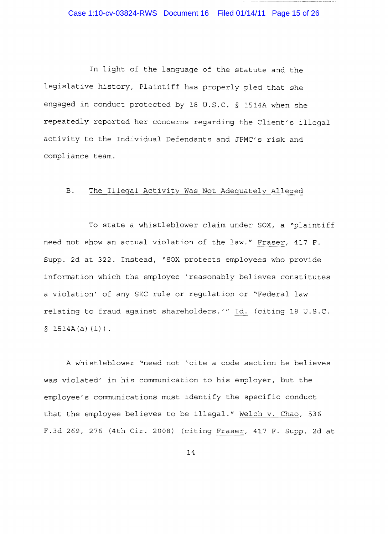# Case 1:10-cv-03824-RWS Document 16 Filed 01/14/11 Page 15 of 26

In light of the language of the statute and the legislative history, Plaintiff has properly pled that she engaged in conduct protected by 18 U.S.C. § 1514A when she repeatedly reported her concerns regarding the Client's illegal activity to the Individual Defendants and JPMC's risk and compliance team.

### B. The Illegal Activity Was Not Adequately Alleged

To state a whistleblower claim under SOX, a "plaintiff need not show an actual violation of the law." Fraser, 417 F. Supp. 2d at 322. Instead, "SOX protects employees who provide information which the employee 'reasonably believes constitutes a violation' of any SEC rule or regulation or "Federal law relating to fraud against shareholders.'" Id. (citing 18 U.S.C.  $$ 1514A(a) (1)$ .

A whistleblower "need not 'cite a code section he believes was violated' in his communication to his employer, but the employee's communications must identify the specific conduct that the employee believes to be illegal." Welch v. Chao, 536 F.3d 269, 276 (4th Cir. 2008) (citing Fraser, 417 F. Supp. 2d at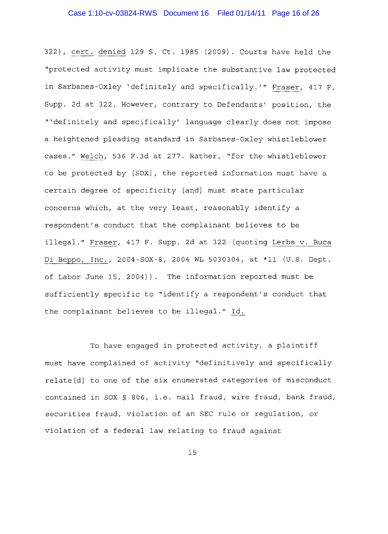322), cert. denied 129 S. Ct. 1985 (2009). Courts have held the "protected activity must implicate the substantive law protected in Sarbanes-Oxley 'definitely and specifically.'" Fraser, 417 F. Supp. 2d at 322. However, contrary to Defendants' position, the "'definitely and specifically' language clearly does not impose a heightened pleading standard in Sarbanes-Oxley whistleblower cases." Welch, 536 F.3d at 277. Rather, "for the whistleblower to be protected by [SOX], the reported information must have a certain degree of specificity [and] must state particular concerns which, at the very least, reasonably identify a respondent's conduct that the complainant believes to be illegal." Fraser, 417 F. Supp. 2d at 322 (quoting Lerbs v. Buca Di Beppo, Inc., 2004-S0X-8, 2004 WL 5030304, at \*11 (U.S. Dept. of Labor June 15, 2004)). The information reported must be sufficiently specific to "identify a respondent's conduct that the complainant believes to be *illegal."* Id.

To have engaged in protected activity, a plaintiff must have complained of activity "definitively and specifically relate[d] to one of the six enumerated categories of misconduct contained in SOX § 806, i.e. mail fraud, wire fraud, bank fraud, securities fraud, violation of an SEC rule or regulation, or violation of a federal law relating to fraud against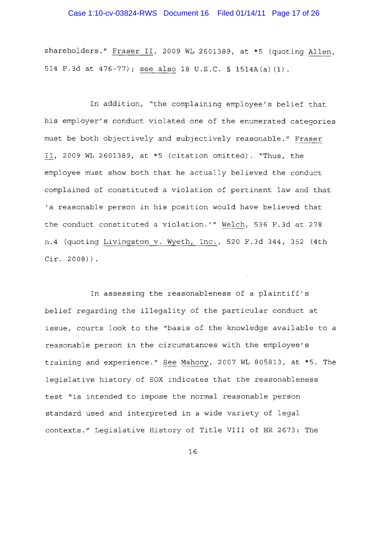# Case 1:10-cv-03824-RWS Document 16 Filed 01/14/11 Page 17 of 26

shareholders." Fraser II, 2009 WL 2601389, at \*5 (quoting Allen, 514 F.3d at 476 77) i see also 18 U.S.C. § 1514A(a) (1).

In addition, "the complaining employee's belief that his employer's conduct violated one of the enumerated categories must be both objectively and subjectively reasonable." Fraser II, 2009 WL 2601389, at \*5 (citation omitted). "Thus, the employee must show both that he actually believed the conduct complained of constituted a violation of pertinent law and that 'a reasonable person in his position would have believed that the conduct constituted a violation.'" Welch, 536 F.3d at 278 n.4 (quoting Livingston v. Wyeth, Inc., 520 F.3d 344, 352 (4th  $Cir. 2008)$ .

In assessing the reasonableness of a plaintiff's belief regarding the illegality of the particular conduct at issue, courts look to the "basis of the knowledge available to a reasonable person in the circumstances with the employee's training and experience." See Mahony, 2007 WL 805813, at \*5. The legislative history of SOX indicates that the reasonableness test "is intended to impose the normal reasonable person standard used and interpreted in a wide variety of legal contexts." Legislative History of Title VIII of HR 2673: The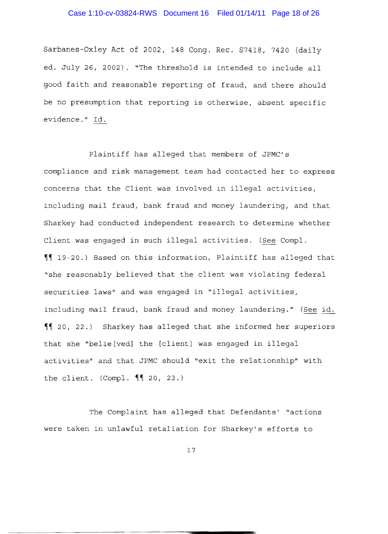# Case 1:10-cv-03824-RWS Document 16 Filed 01/14/11 Page 18 of 26

8arbanes-Oxley Act of *2002 1* 148 Congo Rec. *87418 1* 7420 (daily ed. July 26, 2002). "The threshold is intended to include all good faith and reasonable reporting of fraud, and there should be no presumption that reporting is otherwise, absent specific evidence." Id.

including mail fraud, bank fraud and money laundering." (<u>See id.</u> Plaintiff has alleged that members of JPMC/s compliance and risk management team had contacted her to express concerns that the Client was involved in illegal activities, including mail fraud, bank fraud and money laundering, and that Sharkey had conducted independent research to determine whether Client was engaged in such illegal activities. (See Compl. ~~ 19-20.) Based on this information l Plaintiff has alleged that "she reasonably believed that the client was violating federal securities laws" and was engaged in "illegal activities, ~~ 20 1 22.) Sharkey has alleged that she informed her superiors that she "belie[ved] the [client] was engaged in illegal activities" and that JPMC should "exit the relationship" with the client. (Compl.  $\P$  20, 23.)

The Complaint has alleged that Defendants *1* "actions were taken in unlawful retaliation for Sharkey's efforts to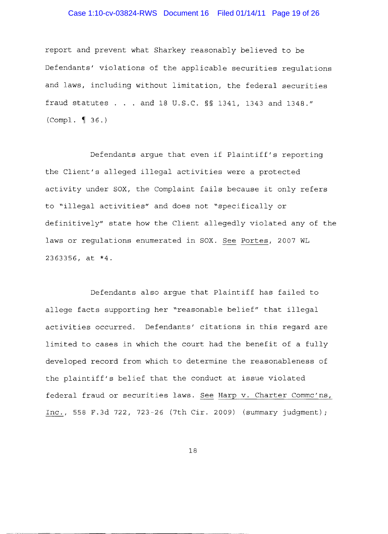# Case 1:10-cv-03824-RWS Document 16 Filed 01/14/11 Page 19 of 26

report and prevent what Sharkey reasonably believed to be Defendants' violations of the applicable securities regulations and laws, including without limitation, the federal securities fraud statutes . . . and 18 U.S.C. §§ 1341, 1343 and 1348."  $(Comp1. \{ 36. \})$ 

Defendants argue that even if Plaintiff's reporting the Client's alleged illegal activities were a protected activity under SOX, the Complaint fails because it only refers to "illegal activities" and does not "specifically or definitively" state how the Client allegedly violated any of the laws or regulations enumerated in SOX. See Portes, 2007 WL 2363356, at \*4.

Defendants also argue that Plaintiff has failed to allege facts supporting her "reasonable belief" that illegal activities occurred. Defendants' citations in this regard are limited to cases in which the court had the benefit of a fully developed record from which to determine the reasonableness of the plaintiff's belief that the conduct at issue violated federal fraud or securities laws. See Harp v. Charter Commc'ns, Inc., 558 F.3d 722, 723-26 (7th Cir. 2009) (summary judgment) <sup>i</sup>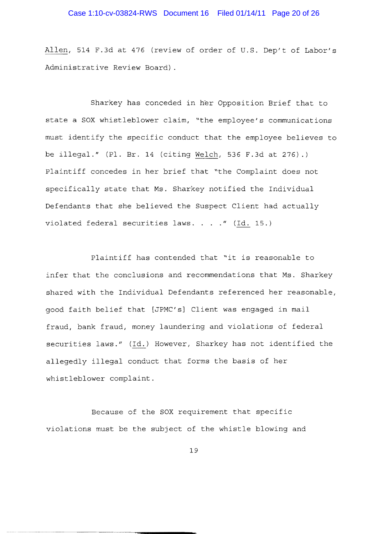# Case 1:10-cv-03824-RWS Document 16 Filed 01/14/11 Page 20 of 26

Allen, 514 F.3d at 476 (review of order of U.S. Dep't of Labor's Administrative Review Board) .

Sharkey has conceded in her Opposition Brief that to state a SOX whistleblower claim, "the employee's communications must identify the specific conduct that the employee believes to be illegal." (Pl. Br. 14 (citing Welch, 536 F.3d at 276).) Plaintiff concedes in her brief that "the Complaint does not specifically state that Ms. Sharkey notified the Individual Defendants that she believed the Suspect Client had actually violated federal securities laws.  $\ldots$  ." (Id. 15.)

Plaintiff has contended that "it is reasonable to infer that the conclusions and recommendations that Ms. Sharkey shared with the Individual Defendants referenced her reasonable, good faith belief that [JPMC's] Client was engaged in mail fraud, bank fraud, money laundering and violations of federal securities laws." (Id.) However, Sharkey has not identified the allegedly illegal conduct that forms the basis of her whistleblower complaint.

Because of the SOX requirement that specific violations must be the subject of the whistle blowing and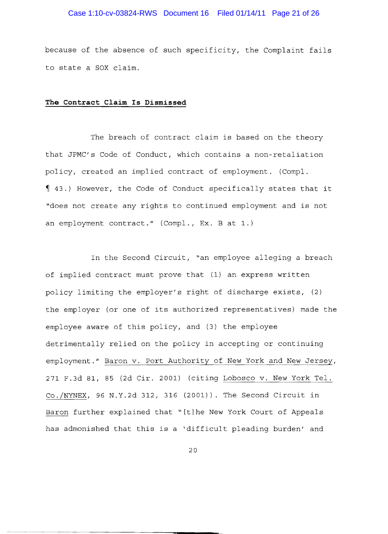# Case 1:10-cv-03824-RWS Document 16 Filed 01/14/11 Page 21 of 26

because of the absence of such specificity, the Complaint fails to state a SOX claim.

#### **The Contract Claim Is Dismissed**

The breach of contract claim is based on the theory that JPMC's Code of Conduct, which contains a non-retaliation policy, created an implied contract of employment. (Compl. <sup>~</sup>43.) However, the Code of Conduct specifically states that it "does not create any rights to continued employment and is not an employment *contract."* (Compl., Ex. B at 1.)

In the Second Circuit, "an employee alleging a breach of implied contract must prove that (1) an express written policy limiting the employer's right of discharge exists, (2) the employer (or one of its authorized representatives) made the employee aware of this policy, and (3) the employee detrimentally relied on the policy in accepting or continuing employment." Baron v. Port Authority of New York and New Jersey, 271 F.3d 81, 85 (2d Cir. 2001) (citing Lobosco v. New York Tel. Co./NYNEX, 96 N.Y.2d 312, 316 (2001)). The Second Circuit in Baron further explained that "[t]he New York Court of Appeals has admonished that this is a 'difficult pleading burden' and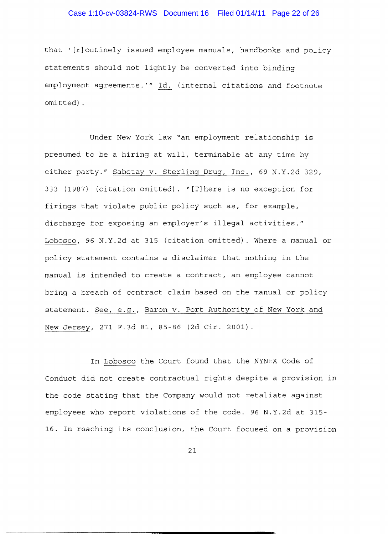# Case 1:10-cv-03824-RWS Document 16 Filed 01/14/11 Page 22 of 26

that ' [r]outinely issued employee manuals, handbooks and policy statements should not lightly be converted into binding employment agreements.'" Id. (internal citations and footnote omitted) .

Under New York law "an employment relationship is presumed to be a hiring at will, terminable at any time by either party." Sabetay v. Sterling Drug, Inc., 69 N.Y.2d 329, 333 (1987) (citation omitted). ~[T]here is no exception for firings that violate public policy such as, for example, discharge for exposing an employer's illegal activities." Lobosco, 96 N.Y.2d at 315 (citation omitted). Where a manual or policy statement contains a disclaimer that nothing in the manual is intended to create a contract, an employee cannot bring a breach of contract claim based on the manual or policy statement. See, e.g., Baron v. Port Authority of New York and New Jersey, 271 F.3d 81, 85-86 (2d Cir. 2001).

In Lobosco the Court found that the NYNEX Code of Conduct did not create contractual rights despite a provision in the code stating that the Company would not retaliate against employees who report violations of the code. 96 N.Y.2d at 315 16. In reaching its conclusion, the Court focused on a provision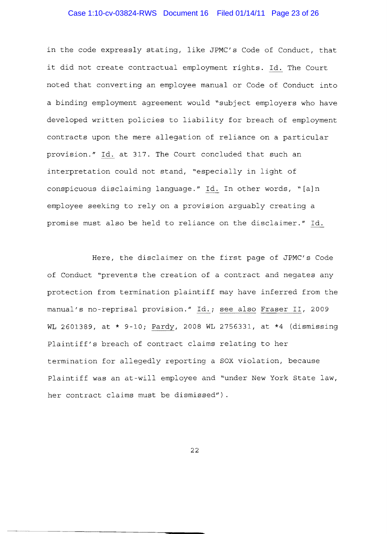# Case 1:10-cv-03824-RWS Document 16 Filed 01/14/11 Page 23 of 26

in the expressly stating, like JPMC's Code of Conduct, that it did not create contractual employment rights. Id. The Court noted that converting an employee manual or Code of Conduct into a binding employment agreement would "subject employers who have developed written policies to liability for breach of employment contracts upon the mere allegation of reliance on a particular provision." Id. at 317. The Court concluded that such an interpretation could not stand, "especially in light of conspicuous disclaiming language." Id. In other words, "[a]n employee seeking to rely on a provision arguably creating a promise must also be held to reliance on the disclaimer." Id.

Here, the disclaimer on the first page of JPMC's Code of Conduct "prevents the creation of a contract and negates any protection from termination plaintiff may have inferred from the manual's no-reprisal provision." Id.; see also Fraser II, 2009 WL 2601389, at \* 9-10; Pardy, 2008 WL 2756331, at \*4 (dismissing Plaintiff's breach of contract claims relating to her termination for allegedly reporting a SOX violation, because Plaintiff was an at-will employee and "under New York State law, her contract claims must be dismissed") .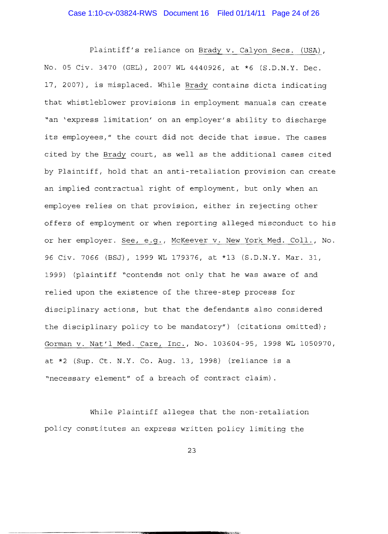Plaintiff's reliance on Brady v. Calyon Secs. (USA), No. 05 Civ. 3470 (GEL), 2007 WL 4440926, at \*6 (S.D.N.Y. Dec. 17, 2007), is misplaced. While Brady contains dicta indicating that whistleblower provisions in employment manuals can create "an 'express limitation' on an employer's ability to discharge its employees," the court did not decide that issue. The cases cited by the Brady court, as well as the additional cases cited by Plaintiff, hold that an anti-retaliation provision can create an implied contractual right of employment, but only when an employee relies on that provision, either in rejecting other offers of employment or when reporting alleged misconduct to his or her employer. See, e.g., McKeever v. New York Med. Coll., No. 96 Civ. 7066 (BSJ) , 1999 WL 179376, at \*13 (S.D.N.Y. Mar. 31, 1999) (plaintiff "contends not only that he was aware of and relied upon the existence of the three-step process for disciplinary actions, but that the defendants also considered the disciplinary policy to be mandatory") (citations omitted); Gorman v. Nat'l Med. Care, Inc., No. 103604-95, 1998 WL 1050970, at \*2 (Sup. Ct. N.Y. Co. Aug. 13, 1998) (reliance is a "necessary element" of a breach of contract claim) .

While Plaintiff alleges that the non-retaliation policy constitutes an express written policy limiting the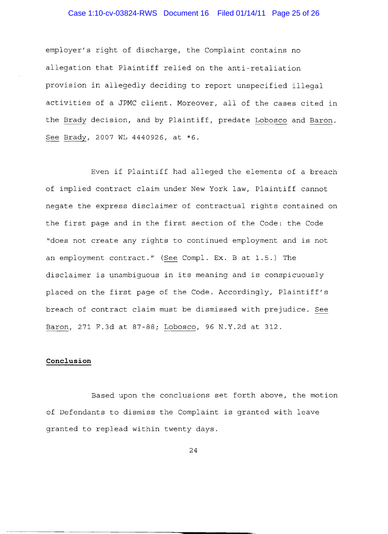# Case 1:10-cv-03824-RWS Document 16 Filed 01/14/11 Page 25 of 26

employer's right discharge, the Complaint contains no allegation that Plaintiff relied on the anti-retaliation provision in allegedly deciding to report unspecified illegal activities of a JPMC client. Moreover, all of the cases cited in the Brady decision, and by Plaintiff, predate Lobosco and Baron. See Brady, 2007 WL 4440926, at \*6.

Even if Plaintiff had alleged the elements of a breach of implied contract claim under New York law, Plaintiff cannot negate the express disclaimer of contractual rights contained on the first page and in the first section of the Code: the Code "does not create any rights to continued employment and is not an employment contract." (See Compl. Ex. B at 1.5.) The disclaimer is unambiguous in its meaning and is conspicuously placed on the first page of the Code. Accordingly, Plaintiff's breach of contract claim must be dismissed with prejudice. See Baron, 271 F.3d at 87-88; Lobosco, 96 N.Y.2d at 312.

# **Conclusion**

Based upon the conclusions set forth above, the motion of Defendants to dismiss the Complaint is granted with leave granted to replead within twenty days.